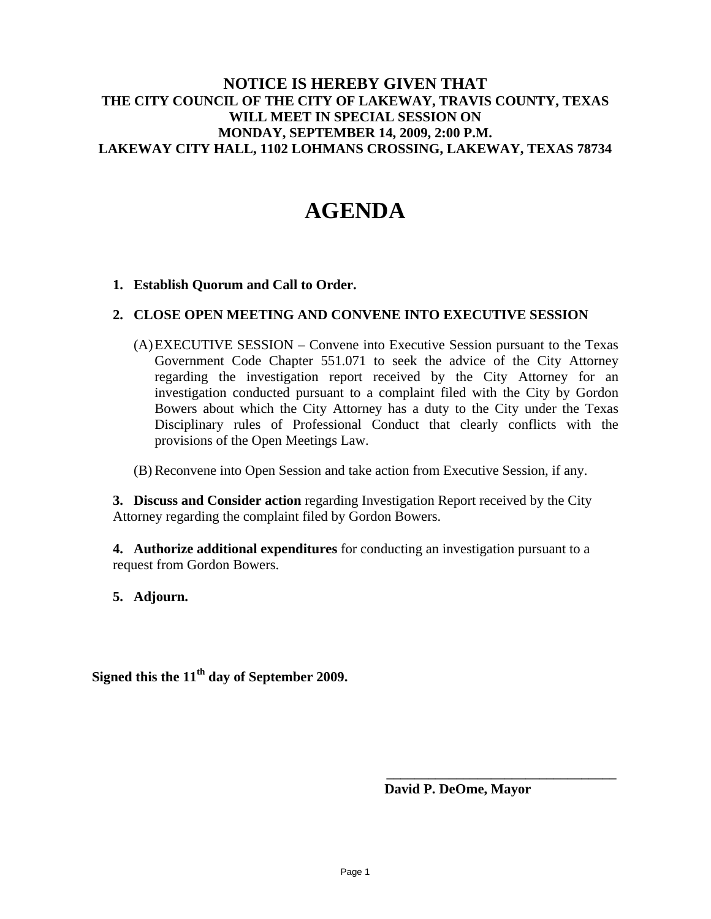## **NOTICE IS HEREBY GIVEN THAT THE CITY COUNCIL OF THE CITY OF LAKEWAY, TRAVIS COUNTY, TEXAS WILL MEET IN SPECIAL SESSION ON MONDAY, SEPTEMBER 14, 2009, 2:00 P.M. LAKEWAY CITY HALL, 1102 LOHMANS CROSSING, LAKEWAY, TEXAS 78734**

# **AGENDA**

## **1. Establish Quorum and Call to Order.**

### **2. CLOSE OPEN MEETING AND CONVENE INTO EXECUTIVE SESSION**

(A)EXECUTIVE SESSION – Convene into Executive Session pursuant to the Texas Government Code Chapter 551.071 to seek the advice of the City Attorney regarding the investigation report received by the City Attorney for an investigation conducted pursuant to a complaint filed with the City by Gordon Bowers about which the City Attorney has a duty to the City under the Texas Disciplinary rules of Professional Conduct that clearly conflicts with the provisions of the Open Meetings Law.

### (B) Reconvene into Open Session and take action from Executive Session, if any.

**3. Discuss and Consider action** regarding Investigation Report received by the City Attorney regarding the complaint filed by Gordon Bowers.

**4. Authorize additional expenditures** for conducting an investigation pursuant to a request from Gordon Bowers.

**5. Adjourn.** 

**Signed this the 11th day of September 2009.** 

 **David P. DeOme, Mayor** 

**\_\_\_\_\_\_\_\_\_\_\_\_\_\_\_\_\_\_\_\_\_\_\_\_\_\_\_\_\_\_\_\_\_**